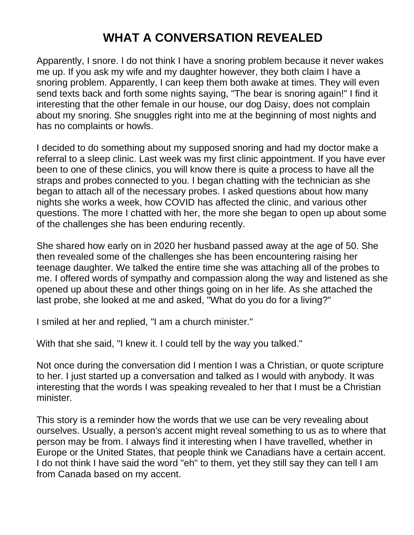## **WHAT A CONVERSATION REVEALED**

Apparently, I snore. I do not think I have a snoring problem because it never wakes me up. If you ask my wife and my daughter however, they both claim I have a snoring problem. Apparently, I can keep them both awake at times. They will even send texts back and forth some nights saying, "The bear is snoring again!" I find it interesting that the other female in our house, our dog Daisy, does not complain about my snoring. She snuggles right into me at the beginning of most nights and has no complaints or howls.

I decided to do something about my supposed snoring and had my doctor make a referral to a sleep clinic. Last week was my first clinic appointment. If you have ever been to one of these clinics, you will know there is quite a process to have all the straps and probes connected to you. I began chatting with the technician as she began to attach all of the necessary probes. I asked questions about how many nights she works a week, how COVID has affected the clinic, and various other questions. The more I chatted with her, the more she began to open up about some of the challenges she has been enduring recently.

She shared how early on in 2020 her husband passed away at the age of 50. She then revealed some of the challenges she has been encountering raising her teenage daughter. We talked the entire time she was attaching all of the probes to me. I offered words of sympathy and compassion along the way and listened as she opened up about these and other things going on in her life. As she attached the last probe, she looked at me and asked, "What do you do for a living?"

I smiled at her and replied, "I am a church minister."

With that she said, "I knew it. I could tell by the way you talked."

Not once during the conversation did I mention I was a Christian, or quote scripture to her. I just started up a conversation and talked as I would with anybody. It was interesting that the words I was speaking revealed to her that I must be a Christian minister.

This story is a reminder how the words that we use can be very revealing about ourselves. Usually, a person's accent might reveal something to us as to where that person may be from. I always find it interesting when I have travelled, whether in Europe or the United States, that people think we Canadians have a certain accent. I do not think I have said the word "eh" to them, yet they still say they can tell I am from Canada based on my accent.